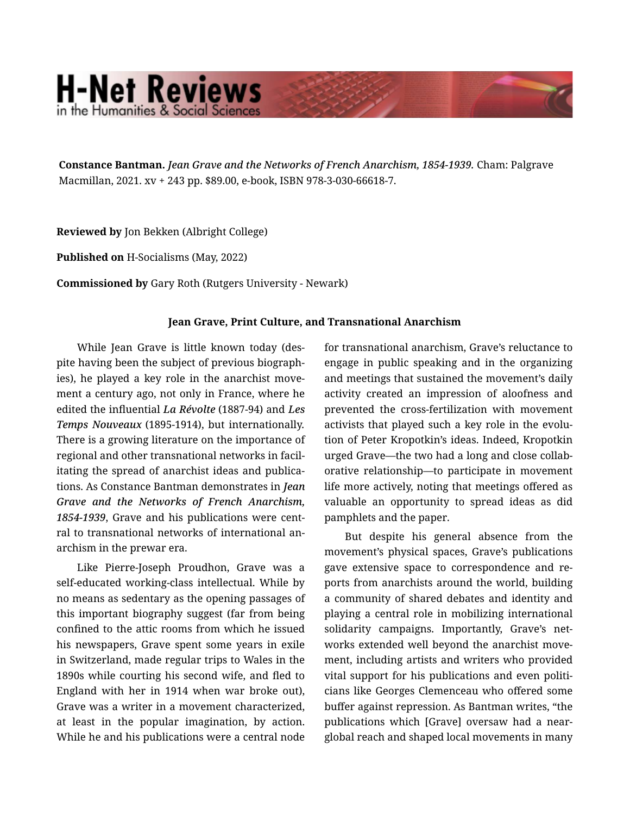## **H-Net Reviews** in the Humanities & Social Scienc

**Constance Bantman.** *Jean Grave and the Networks of French Anarchism, 1854-1939.* Cham: Palgrave Macmillan, 2021. xv + 243 pp. \$89.00, e-book, ISBN 978-3-030-66618-7.

**Reviewed by** Jon Bekken (Albright College)

**Published on** H-Socialisms (May, 2022)

**Commissioned by** Gary Roth (Rutgers University - Newark)

## **Jean Grave, Print Culture, and Transnational Anarchism**

While Jean Grave is little known today (des‐ pite having been the subject of previous biograph‐ ies), he played a key role in the anarchist movement a century ago, not only in France, where he edited the influential *La Révolte* (1887-94) and *Les Temps Nouveaux* (1895-1914), but internationally. There is a growing literature on the importance of regional and other transnational networks in facil‐ itating the spread of anarchist ideas and publica‐ tions. As Constance Bantman demonstrates in *Jean Grave and the Networks of French Anarchism, 1854-1939*, Grave and his publications were cent‐ ral to transnational networks of international an‐ archism in the prewar era.

Like Pierre-Joseph Proudhon, Grave was a self-educated working-class intellectual. While by no means as sedentary as the opening passages of this important biography suggest (far from being confined to the attic rooms from which he issued his newspapers, Grave spent some years in exile in Switzerland, made regular trips to Wales in the 1890s while courting his second wife, and fled to England with her in 1914 when war broke out), Grave was a writer in a movement characterized, at least in the popular imagination, by action. While he and his publications were a central node for transnational anarchism, Grave's reluctance to engage in public speaking and in the organizing and meetings that sustained the movement's daily activity created an impression of aloofness and prevented the cross-fertilization with movement activists that played such a key role in the evolu‐ tion of Peter Kropotkin's ideas. Indeed, Kropotkin urged Grave—the two had a long and close collab‐ orative relationship—to participate in movement life more actively, noting that meetings offered as valuable an opportunity to spread ideas as did pamphlets and the paper.

But despite his general absence from the movement's physical spaces, Grave's publications gave extensive space to correspondence and re‐ ports from anarchists around the world, building a community of shared debates and identity and playing a central role in mobilizing international solidarity campaigns. Importantly, Grave's networks extended well beyond the anarchist move‐ ment, including artists and writers who provided vital support for his publications and even politicians like Georges Clemenceau who offered some buffer against repression. As Bantman writes, "the publications which [Grave] oversaw had a nearglobal reach and shaped local movements in many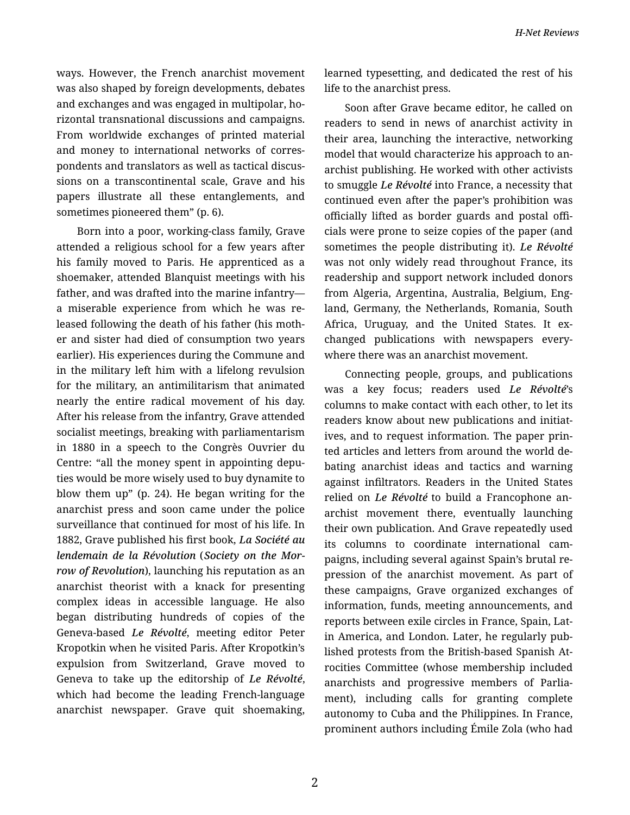ways. However, the French anarchist movement was also shaped by foreign developments, debates and exchanges and was engaged in multipolar, ho‐ rizontal transnational discussions and campaigns. From worldwide exchanges of printed material and money to international networks of corres‐ pondents and translators as well as tactical discus‐ sions on a transcontinental scale, Grave and his papers illustrate all these entanglements, and sometimes pioneered them" (p. 6).

Born into a poor, working-class family, Grave attended a religious school for a few years after his family moved to Paris. He apprenticed as a shoemaker, attended Blanquist meetings with his father, and was drafted into the marine infantry a miserable experience from which he was re‐ leased following the death of his father (his moth‐ er and sister had died of consumption two years earlier). His experiences during the Commune and in the military left him with a lifelong revulsion for the military, an antimilitarism that animated nearly the entire radical movement of his day. After his release from the infantry, Grave attended socialist meetings, breaking with parliamentarism in 1880 in a speech to the Congrès Ouvrier du Centre: "all the money spent in appointing depu‐ ties would be more wisely used to buy dynamite to blow them up" (p. 24). He began writing for the anarchist press and soon came under the police surveillance that continued for most of his life. In 1882, Grave published his first book, *La Société au lendemain de la Révolution* (*Society on the Mor‐ row of Revolution*), launching his reputation as an anarchist theorist with a knack for presenting complex ideas in accessible language. He also began distributing hundreds of copies of the Geneva-based *Le Révolté*, meeting editor Peter Kropotkin when he visited Paris. After Kropotkin's expulsion from Switzerland, Grave moved to Geneva to take up the editorship of *Le Révolté*, which had become the leading French-language anarchist newspaper. Grave quit shoemaking,

learned typesetting, and dedicated the rest of his life to the anarchist press.

Soon after Grave became editor, he called on readers to send in news of anarchist activity in their area, launching the interactive, networking model that would characterize his approach to an‐ archist publishing. He worked with other activists to smuggle *Le Révolté* into France, a necessity that continued even after the paper's prohibition was officially lifted as border guards and postal offi‐ cials were prone to seize copies of the paper (and sometimes the people distributing it). *Le Révolté* was not only widely read throughout France, its readership and support network included donors from Algeria, Argentina, Australia, Belgium, Eng‐ land, Germany, the Netherlands, Romania, South Africa, Uruguay, and the United States. It ex‐ changed publications with newspapers every‐ where there was an anarchist movement.

Connecting people, groups, and publications was a key focus; readers used *Le Révolté*'s columns to make contact with each other, to let its readers know about new publications and initiat‐ ives, and to request information. The paper prin‐ ted articles and letters from around the world de‐ bating anarchist ideas and tactics and warning against infiltrators. Readers in the United States relied on *Le Révolté* to build a Francophone an‐ archist movement there, eventually launching their own publication. And Grave repeatedly used its columns to coordinate international cam‐ paigns, including several against Spain's brutal re‐ pression of the anarchist movement. As part of these campaigns, Grave organized exchanges of information, funds, meeting announcements, and reports between exile circles in France, Spain, Lat‐ in America, and London. Later, he regularly pub‐ lished protests from the British-based Spanish At‐ rocities Committee (whose membership included anarchists and progressive members of Parlia‐ ment), including calls for granting complete autonomy to Cuba and the Philippines. In France, prominent authors including Émile Zola (who had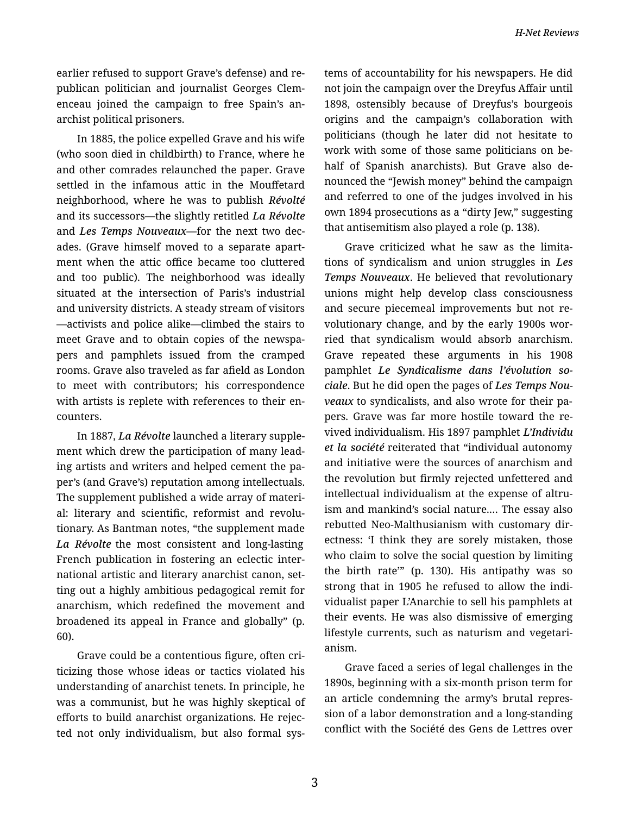earlier refused to support Grave's defense) and re‐ publican politician and journalist Georges Clem‐ enceau joined the campaign to free Spain's an‐ archist political prisoners.

In 1885, the police expelled Grave and his wife (who soon died in childbirth) to France, where he and other comrades relaunched the paper. Grave settled in the infamous attic in the Mouffetard neighborhood, where he was to publish *Révolté* and its successors—the slightly retitled *La Révolte* and *Les Temps Nouveaux—*for the next two dec‐ ades. (Grave himself moved to a separate apart‐ ment when the attic office became too cluttered and too public). The neighborhood was ideally situated at the intersection of Paris's industrial and university districts. A steady stream of visitors —activists and police alike—climbed the stairs to meet Grave and to obtain copies of the newspa‐ pers and pamphlets issued from the cramped rooms. Grave also traveled as far afield as London to meet with contributors; his correspondence with artists is replete with references to their encounters.

In 1887, *La Révolte* launched a literary supple‐ ment which drew the participation of many lead‐ ing artists and writers and helped cement the pa‐ per's (and Grave's) reputation among intellectuals. The supplement published a wide array of materi‐ al: literary and scientific, reformist and revolu‐ tionary. As Bantman notes, "the supplement made *La Révolte* the most consistent and long-lasting French publication in fostering an eclectic inter‐ national artistic and literary anarchist canon, set‐ ting out a highly ambitious pedagogical remit for anarchism, which redefined the movement and broadened its appeal in France and globally" (p. 60).

Grave could be a contentious figure, often cri‐ ticizing those whose ideas or tactics violated his understanding of anarchist tenets. In principle, he was a communist, but he was highly skeptical of efforts to build anarchist organizations. He rejec‐ ted not only individualism, but also formal sys‐ tems of accountability for his newspapers. He did not join the campaign over the Dreyfus Affair until 1898, ostensibly because of Dreyfus's bourgeois origins and the campaign's collaboration with politicians (though he later did not hesitate to work with some of those same politicians on be‐ half of Spanish anarchists). But Grave also de‐ nounced the "Jewish money" behind the campaign and referred to one of the judges involved in his own 1894 prosecutions as a "dirty Jew," suggesting that antisemitism also played a role (p. 138).

Grave criticized what he saw as the limita‐ tions of syndicalism and union struggles in *Les Temps Nouveaux*. He believed that revolutionary unions might help develop class consciousness and secure piecemeal improvements but not re‐ volutionary change, and by the early 1900s wor‐ ried that syndicalism would absorb anarchism. Grave repeated these arguments in his 1908 pamphlet *Le Syndicalisme dans l'évolution so‐ ciale*. But he did open the pages of *Les Temps Nou‐ veaux* to syndicalists, and also wrote for their pa‐ pers. Grave was far more hostile toward the re‐ vived individualism. His 1897 pamphlet *L'Individu et la société* reiterated that "individual autonomy and initiative were the sources of anarchism and the revolution but firmly rejected unfettered and intellectual individualism at the expense of altruism and mankind's social nature.… The essay also rebutted Neo-Malthusianism with customary dir‐ ectness: 'I think they are sorely mistaken, those who claim to solve the social question by limiting the birth rate'" (p. 130). His antipathy was so strong that in 1905 he refused to allow the indi‐ vidualist paper L'Anarchie to sell his pamphlets at their events. He was also dismissive of emerging lifestyle currents, such as naturism and vegetari‐ anism.

Grave faced a series of legal challenges in the 1890s, beginning with a six-month prison term for an article condemning the army's brutal repres‐ sion of a labor demonstration and a long-standing conflict with the Société des Gens de Lettres over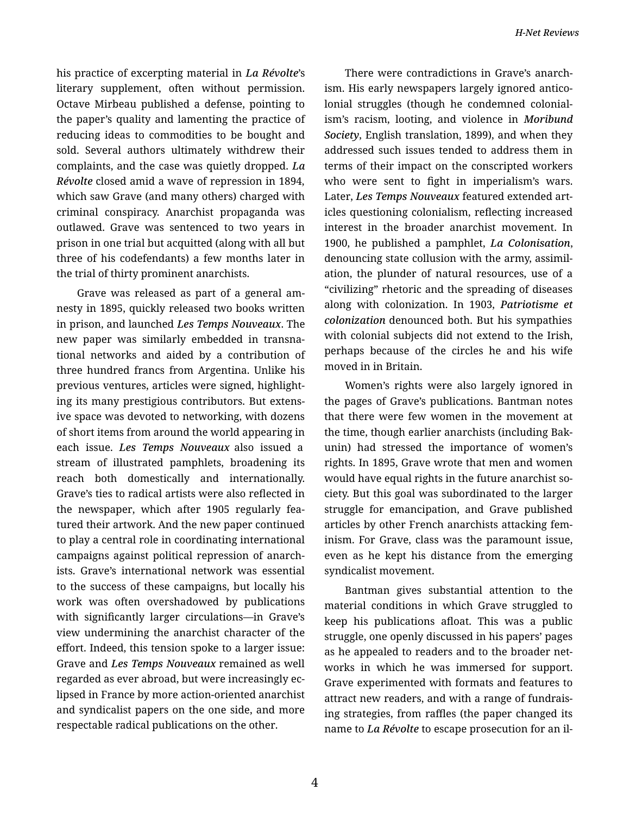his practice of excerpting material in *La Révolte*'s literary supplement, often without permission. Octave Mirbeau published a defense, pointing to the paper's quality and lamenting the practice of reducing ideas to commodities to be bought and sold. Several authors ultimately withdrew their complaints, and the case was quietly dropped. *La Révolte* closed amid a wave of repression in 1894, which saw Grave (and many others) charged with criminal conspiracy. Anarchist propaganda was outlawed. Grave was sentenced to two years in prison in one trial but acquitted (along with all but three of his codefendants) a few months later in the trial of thirty prominent anarchists.

Grave was released as part of a general am‐ nesty in 1895, quickly released two books written in prison, and launched *Les Temps Nouveaux*. The new paper was similarly embedded in transna‐ tional networks and aided by a contribution of three hundred francs from Argentina. Unlike his previous ventures, articles were signed, highlight‐ ing its many prestigious contributors. But extens‐ ive space was devoted to networking, with dozens of short items from around the world appearing in each issue. *Les Temps Nouveaux* also issued a stream of illustrated pamphlets, broadening its reach both domestically and internationally. Grave's ties to radical artists were also reflected in the newspaper, which after 1905 regularly fea‐ tured their artwork. And the new paper continued to play a central role in coordinating international campaigns against political repression of anarch‐ ists. Grave's international network was essential to the success of these campaigns, but locally his work was often overshadowed by publications with significantly larger circulations—in Grave's view undermining the anarchist character of the effort. Indeed, this tension spoke to a larger issue: Grave and *Les Temps Nouveaux* remained as well regarded as ever abroad, but were increasingly ec‐ lipsed in France by more action-oriented anarchist and syndicalist papers on the one side, and more respectable radical publications on the other.

There were contradictions in Grave's anarch‐ ism. His early newspapers largely ignored antico‐ lonial struggles (though he condemned colonial‐ ism's racism, looting, and violence in *Moribund Society*, English translation, 1899), and when they addressed such issues tended to address them in terms of their impact on the conscripted workers who were sent to fight in imperialism's wars. Later, *Les Temps Nouveaux* featured extended art‐ icles questioning colonialism, reflecting increased interest in the broader anarchist movement. In 1900, he published a pamphlet, *La Colonisation*, denouncing state collusion with the army, assimil‐ ation, the plunder of natural resources, use of a "civilizing" rhetoric and the spreading of diseases along with colonization. In 1903, *Patriotisme et colonization* denounced both. But his sympathies with colonial subjects did not extend to the Irish, perhaps because of the circles he and his wife moved in in Britain.

Women's rights were also largely ignored in the pages of Grave's publications. Bantman notes that there were few women in the movement at the time, though earlier anarchists (including Bak‐ unin) had stressed the importance of women's rights. In 1895, Grave wrote that men and women would have equal rights in the future anarchist so‐ ciety. But this goal was subordinated to the larger struggle for emancipation, and Grave published articles by other French anarchists attacking fem‐ inism. For Grave, class was the paramount issue, even as he kept his distance from the emerging syndicalist movement.

Bantman gives substantial attention to the material conditions in which Grave struggled to keep his publications afloat. This was a public struggle, one openly discussed in his papers' pages as he appealed to readers and to the broader net‐ works in which he was immersed for support. Grave experimented with formats and features to attract new readers, and with a range of fundrais‐ ing strategies, from raffles (the paper changed its name to *La Révolte* to escape prosecution for an il‐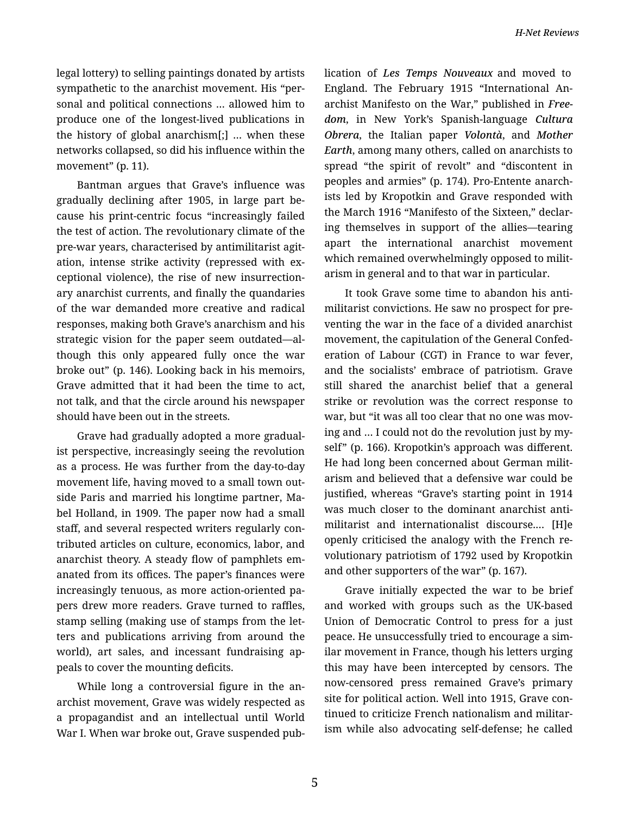legal lottery) to selling paintings donated by artists sympathetic to the anarchist movement. His "per‐ sonal and political connections … allowed him to produce one of the longest-lived publications in the history of global anarchism[;] … when these networks collapsed, so did his influence within the movement" (p. 11).

Bantman argues that Grave's influence was gradually declining after 1905, in large part be‐ cause his print-centric focus "increasingly failed the test of action. The revolutionary climate of the pre-war years, characterised by antimilitarist agit‐ ation, intense strike activity (repressed with ex‐ ceptional violence), the rise of new insurrection‐ ary anarchist currents, and finally the quandaries of the war demanded more creative and radical responses, making both Grave's anarchism and his strategic vision for the paper seem outdated—al‐ though this only appeared fully once the war broke out" (p. 146). Looking back in his memoirs, Grave admitted that it had been the time to act, not talk, and that the circle around his newspaper should have been out in the streets.

Grave had gradually adopted a more gradual‐ ist perspective, increasingly seeing the revolution as a process. He was further from the day-to-day movement life, having moved to a small town out‐ side Paris and married his longtime partner, Ma‐ bel Holland, in 1909. The paper now had a small staff, and several respected writers regularly con‐ tributed articles on culture, economics, labor, and anarchist theory. A steady flow of pamphlets em‐ anated from its offices. The paper's finances were increasingly tenuous, as more action-oriented pa‐ pers drew more readers. Grave turned to raffles, stamp selling (making use of stamps from the let‐ ters and publications arriving from around the world), art sales, and incessant fundraising ap‐ peals to cover the mounting deficits.

While long a controversial figure in the anarchist movement, Grave was widely respected as a propagandist and an intellectual until World War I. When war broke out, Grave suspended pub‐ lication of *Les Temps Nouveaux* and moved to England. The February 1915 "International An‐ archist Manifesto on the War," published in *Free‐ dom*, in New York's Spanish-language *Cultura Obrera*, the Italian paper *Volontà*, and *Mother Earth*, among many others, called on anarchists to spread "the spirit of revolt" and "discontent in peoples and armies" (p. 174). Pro-Entente anarch‐ ists led by Kropotkin and Grave responded with the March 1916 "Manifesto of the Sixteen," declar‐ ing themselves in support of the allies—tearing apart the international anarchist movement which remained overwhelmingly opposed to militarism in general and to that war in particular.

It took Grave some time to abandon his anti‐ militarist convictions. He saw no prospect for pre‐ venting the war in the face of a divided anarchist movement, the capitulation of the General Confed‐ eration of Labour (CGT) in France to war fever, and the socialists' embrace of patriotism. Grave still shared the anarchist belief that a general strike or revolution was the correct response to war, but "it was all too clear that no one was mov‐ ing and … I could not do the revolution just by my‐ self" (p. 166). Kropotkin's approach was different. He had long been concerned about German milit‐ arism and believed that a defensive war could be justified, whereas "Grave's starting point in 1914 was much closer to the dominant anarchist anti‐ militarist and internationalist discourse.… [H]e openly criticised the analogy with the French re‐ volutionary patriotism of 1792 used by Kropotkin and other supporters of the war" (p. 167).

Grave initially expected the war to be brief and worked with groups such as the UK-based Union of Democratic Control to press for a just peace. He unsuccessfully tried to encourage a sim‐ ilar movement in France, though his letters urging this may have been intercepted by censors. The now-censored press remained Grave's primary site for political action. Well into 1915, Grave con‐ tinued to criticize French nationalism and militar‐ ism while also advocating self-defense; he called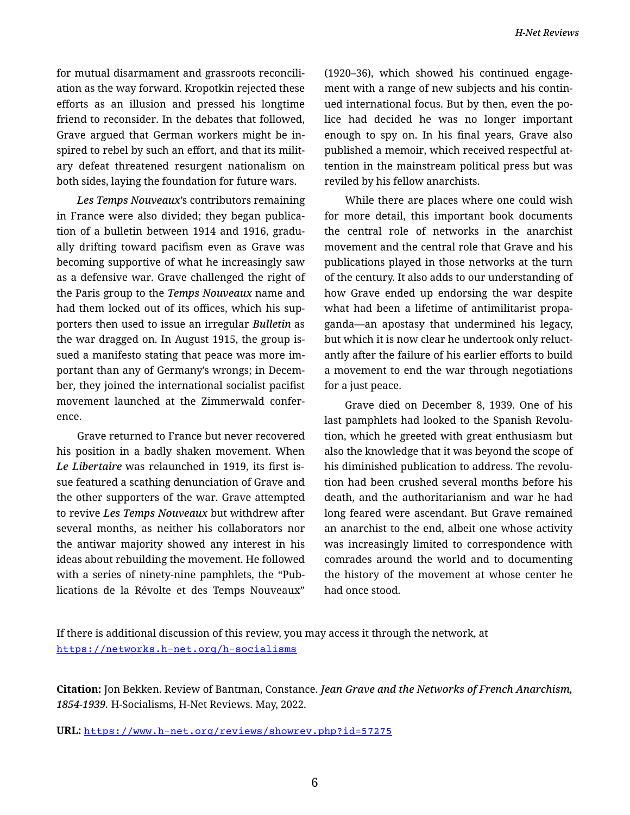for mutual disarmament and grassroots reconcili‐ ation as the way forward. Kropotkin rejected these efforts as an illusion and pressed his longtime friend to reconsider. In the debates that followed, Grave argued that German workers might be in‐ spired to rebel by such an effort, and that its milit‐ ary defeat threatened resurgent nationalism on both sides, laying the foundation for future wars.

*Les Temps Nouveaux*'s contributors remaining in France were also divided; they began publica‐ tion of a bulletin between 1914 and 1916, gradu‐ ally drifting toward pacifism even as Grave was becoming supportive of what he increasingly saw as a defensive war. Grave challenged the right of the Paris group to the *Temps Nouveaux* name and had them locked out of its offices, which his sup‐ porters then used to issue an irregular *Bulletin* as the war dragged on. In August 1915, the group is‐ sued a manifesto stating that peace was more im‐ portant than any of Germany's wrongs; in Decem‐ ber, they joined the international socialist pacifist movement launched at the Zimmerwald confer‐ ence.

Grave returned to France but never recovered his position in a badly shaken movement. When *Le Libertaire* was relaunched in 1919, its first is‐ sue featured a scathing denunciation of Grave and the other supporters of the war. Grave attempted to revive *Les Temps Nouveaux* but withdrew after several months, as neither his collaborators nor the antiwar majority showed any interest in his ideas about rebuilding the movement. He followed with a series of ninety-nine pamphlets, the "Pub‐ lications de la Révolte et des Temps Nouveaux"

(1920–36), which showed his continued engage‐ ment with a range of new subjects and his contin‐ ued international focus. But by then, even the po‐ lice had decided he was no longer important enough to spy on. In his final years, Grave also published a memoir, which received respectful at‐ tention in the mainstream political press but was reviled by his fellow anarchists.

While there are places where one could wish for more detail, this important book documents the central role of networks in the anarchist movement and the central role that Grave and his publications played in those networks at the turn of the century. It also adds to our understanding of how Grave ended up endorsing the war despite what had been a lifetime of antimilitarist propa‐ ganda—an apostasy that undermined his legacy, but which it is now clear he undertook only reluct‐ antly after the failure of his earlier efforts to build a movement to end the war through negotiations for a just peace.

Grave died on December 8, 1939. One of his last pamphlets had looked to the Spanish Revolu‐ tion, which he greeted with great enthusiasm but also the knowledge that it was beyond the scope of his diminished publication to address. The revolu‐ tion had been crushed several months before his death, and the authoritarianism and war he had long feared were ascendant. But Grave remained an anarchist to the end, albeit one whose activity was increasingly limited to correspondence with comrades around the world and to documenting the history of the movement at whose center he had once stood.

**Citation:** Jon Bekken. Review of Bantman, Constance. *Jean Grave and the Networks of French Anarchism, 1854-1939.* H-Socialisms, H-Net Reviews. May, 2022.

**URL:** <https://www.h-net.org/reviews/showrev.php?id=57275>

If there is additional discussion of this review, you may access it through the network, at <https://networks.h-net.org/h-socialisms>